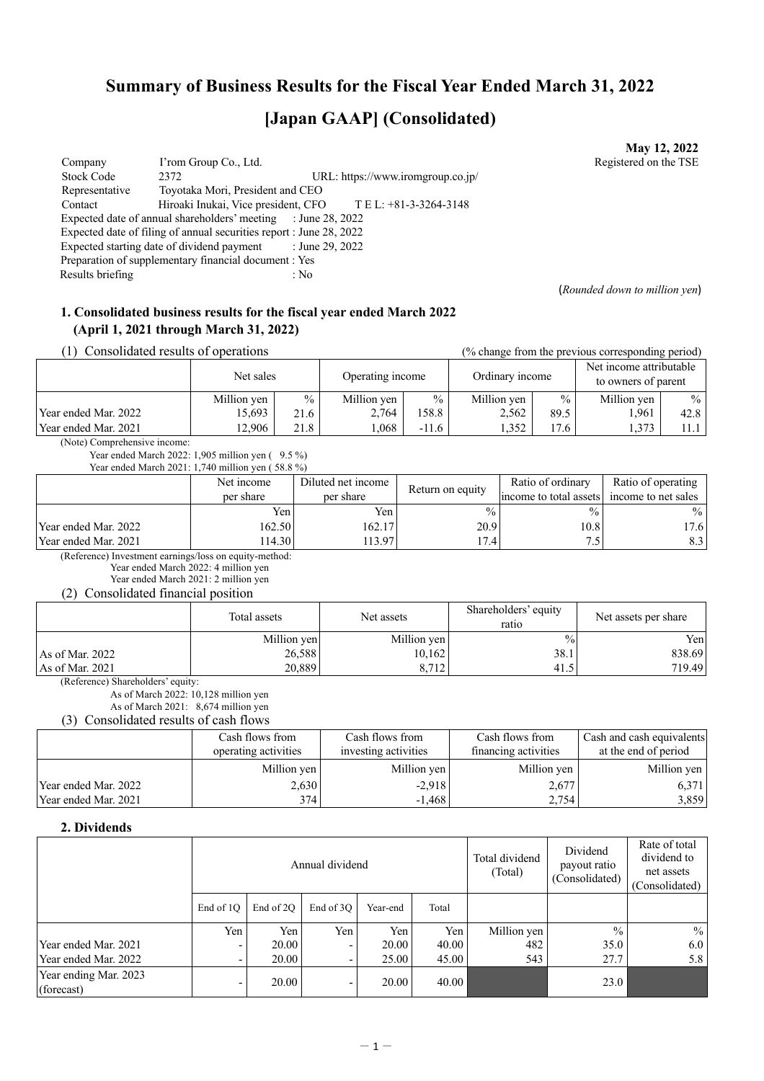## **Summary of Business Results for the Fiscal Year Ended March 31, 2022**

# **[Japan GAAP] (Consolidated)**

Company I'rom Group Co., Ltd. 2008. The U.S. Registered on the TSE Stock Code 2372 URL: https://www.iromgroup.co.jp/ Representative Toyotaka Mori, President and CEO<br>Contact Hiroaki Inukai, Vice president. CFC Hiroaki Inukai, Vice president, CFO T E L: +81-3-3264-3148 Expected date of annual shareholders' meeting : June 28, 2022 Expected date of filing of annual securities report : June 28, 2022 Expected starting date of dividend payment : June 29, 2022 Preparation of supplementary financial document : Yes Results briefing : No

(*Rounded down to million yen*)

**May 12, 2022**

### **1. Consolidated business results for the fiscal year ended March 2022 (April 1, 2021 through March 31, 2022)**

(1) Consolidated results of operations (% change from the previous corresponding period)

|                      | Net sales   |      | Operating income |               | Ordinary income |               | 01<br>Net income attributable<br>to owners of parent |               |
|----------------------|-------------|------|------------------|---------------|-----------------|---------------|------------------------------------------------------|---------------|
|                      | Million yen | $\%$ | Million yen      | $\frac{0}{0}$ | Million yen     | $\frac{0}{0}$ | Million yen                                          | $\frac{0}{0}$ |
| Year ended Mar. 2022 | 15,693      | 21.6 | 2.764            | 158.8         | 2.562           | 89.5          | 1,961                                                | 42.8          |
| Year ended Mar. 2021 | 2.906       | 21.8 | .068             | $-11.6$       | 1.352           | 17.6          | 1,373                                                | 11.1          |

(Note) Comprehensive income:

Year ended March 2022: 1,905 million yen ( 9.5 %) Year ended March 2021: 1,740 million yen ( 58.8 %)

| Teal chucu ivialch 2021. T, $\frac{1}{40}$ million year (30.0 70) | Net income | Diluted net income |                  | Ratio of ordinary                          | Ratio of operating |
|-------------------------------------------------------------------|------------|--------------------|------------------|--------------------------------------------|--------------------|
|                                                                   | per share  | per share          | Return on equity | income to total assets income to net sales |                    |
|                                                                   | Yen i      | Yen                | $\frac{0}{0}$    | $\frac{0}{0}$                              | $\%$               |
| Year ended Mar. 2022                                              | 162.50     | 162.17             | 20.9             | 10.8                                       | 17.6               |
| Year ended Mar. 2021                                              | 114.30     | 113.97             | 7.4              | 7.5                                        | 8.31               |

(Reference) Investment earnings/loss on equity-method:

Year ended March 2022: 4 million yen Year ended March 2021: 2 million yen

(2) Consolidated financial position

|                   | Total assets | Net assets  | Shareholders' equity<br>ratio | Net assets per share |
|-------------------|--------------|-------------|-------------------------------|----------------------|
|                   | Million yen  | Million yen | $\frac{0}{0}$                 | Yen                  |
| As of Mar. $2022$ | 26,588       | 10,162      | 38.1                          | 838.69               |
| As of Mar. 2021   | 20.889       | 8.712       | 41.5                          | 719.49               |

(Reference) Shareholders' equity:

As of March 2022: 10,128 million yen

As of March 2021: 8,674 million yen

(3) Consolidated results of cash flows

|                      | Cash flows from<br>operating activities | Cash flows from<br>investing activities | Cash flows from<br>financing activities | Cash and cash equivalents<br>at the end of period |  |
|----------------------|-----------------------------------------|-----------------------------------------|-----------------------------------------|---------------------------------------------------|--|
|                      | Million yen                             | Million yen                             | Million yen                             | Million yen                                       |  |
| Year ended Mar. 2022 | 2,630                                   | $-2,918$                                | 2,677                                   | 6,371                                             |  |
| Year ended Mar. 2021 | 374                                     | $-1,468$                                | 2,754                                   | 3,859                                             |  |

#### **2. Dividends**

|                                     | Annual dividend |           |           |          |                  | Total dividend<br>(Total) | Dividend<br>payout ratio<br>(Consolidated) | Rate of total<br>dividend to<br>net assets<br>(Consolidated) |
|-------------------------------------|-----------------|-----------|-----------|----------|------------------|---------------------------|--------------------------------------------|--------------------------------------------------------------|
|                                     | End of 10       | End of 2O | End of 3O | Year-end | Total            |                           |                                            |                                                              |
|                                     | Yen             | Yen       | Yen       | Yen      | Yen              | Million yen               | $\frac{0}{0}$                              | $\frac{0}{0}$                                                |
| Year ended Mar. 2021                |                 | 20.00     |           | 20.00    | 40.00            | 482                       | 35.0                                       | 6.0                                                          |
| Year ended Mar. 2022                |                 | 20.00     |           | 25.00    | 45.00            | 543                       | 27.7                                       | 5.8                                                          |
| Year ending Mar. 2023<br>(forecast) |                 | 20.00     |           | 20.00    | $40.00\text{ N}$ |                           | 23.0                                       |                                                              |